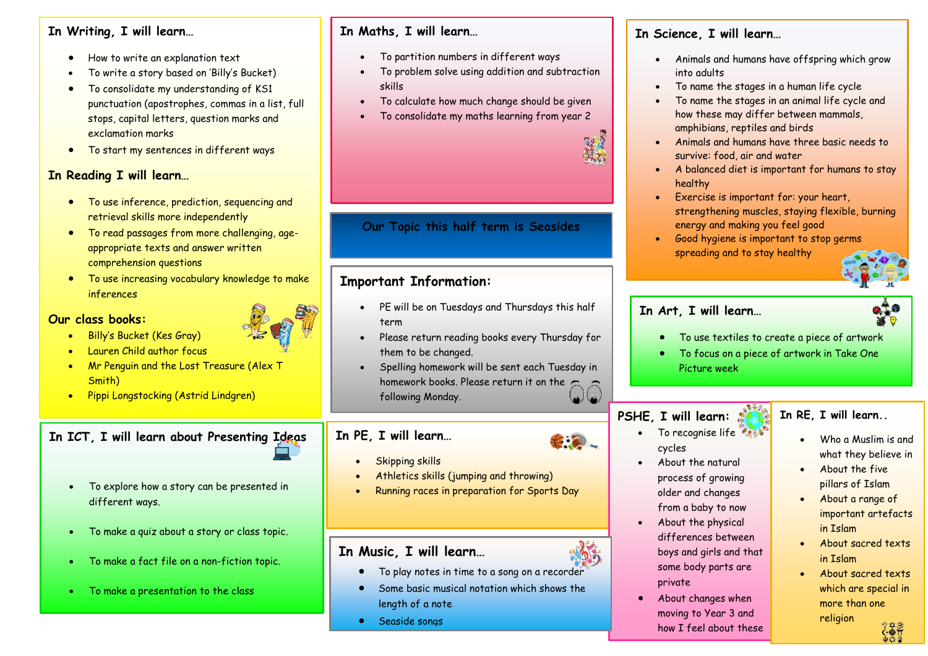#### **In Writing, I will learn…**

- How to write an explanation text
- To write a story based on 'Billy's Bucket)
- **Year** exclamation marks • To consolidate my understanding of KS1 punctuation (apostrophes, commas in a list, full stops, capital letters, question marks and
- **6** To start my sentences in different ways

## **In Reading I will learn…**

- **•** To use inference, prediction, sequencing and retrieval skills more independently
- **er** To read passages from more challenging, ageappropriate texts and an<br>comprehension questions appropriate texts and answer written
- **2** inferences • To use increasing vocabulary knowledge to make

#### **Our class books:**

- Billy's Bucket (Kes Gray)
- Lauren Child author focus
- Mr Penguin and the Lost Treasure (Alex T Smith)
- Pippi Longstocking (Astrid Lindgren)

# **In ICT, I will learn about Presenting Ideas**

- To explore how a story can be presented in different ways.
- To make a quiz about a story or class topic.
- To make a fact file on a non-fiction topic.
- To make a presentation to the class

#### **In Maths, I will learn…**

- To partition numbers in different ways
- To problem solve using addition and subtraction skills
- To calculate how much change should be given
- To consolidate my maths learning from year 2

## **Our Topic this half term is Seasides**

# **Important Information:**

- PE will be on Tuesdays and Thursdays this half term
- Please return reading books every Thursday for them to be changed.
- Spelling homework will be sent each Tuesday in homework books. Please return it on the following Monday.

## **In PE, I will learn…**

- **Skipping skills**
- Athletics skills (jumping and throwing)
- Running races in preparation for Sports Day

# **In Music, I will learn…**

- To play notes in time to a song on a recorder
- Some basic musical notation which shows the length of a note
- Seaside songs

# **In Science, I will learn…**

- Animals and humans have offspring which grow into adults
- To name the stages in a human life cycle
- To name the stages in an animal life cycle and how these may differ between mammals, amphibians, reptiles and birds
- Animals and humans have three basic needs to survive: food, air and water
- A balanced diet is important for humans to stay healthy
- Exercise is important for: your heart, strengthening muscles, staying flexible, burning energy and making you feel good
- Good hygiene is important to stop germs spreading and to stay healthy

# **In Art, I will learn…**



- To use textiles to create a piece of artwork
- To focus on a piece of artwork in Take One Picture week

# **PSHE, I will learn:**

- **In RE, I will learn..**
	- Who a Muslim is and what they believe in
	- About the five pillars of Islam
	- About a range of important artefacts in Islam
	- About sacred texts in Islam
	- About sacred texts which are special in more than one religion

#### • To recognise life cycles

- About the natural process of growing older and changes from a baby to now
- About the physical differences between boys and girls and that some body parts are private
- About changes when moving to Year 3 and how I feel about these